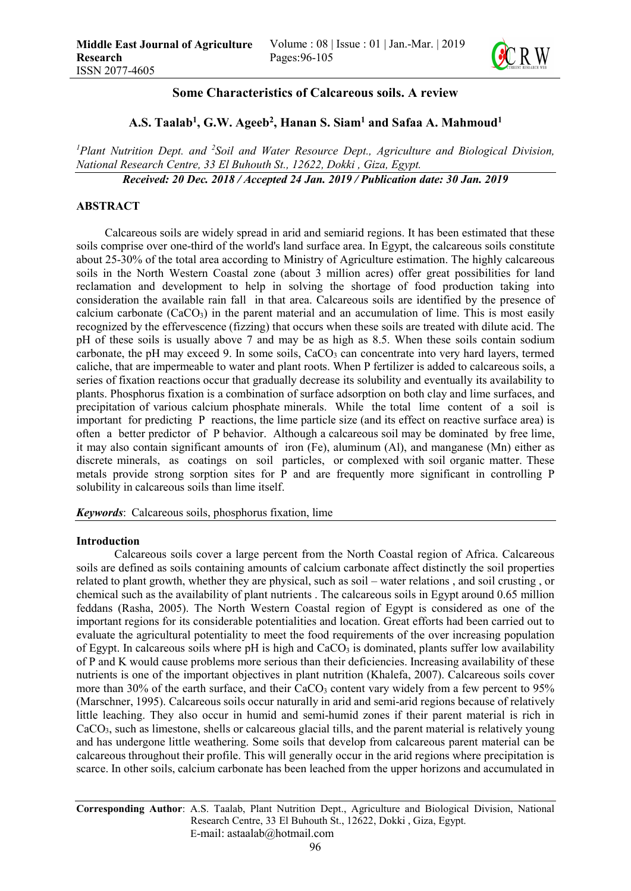

# Some Characteristics of Calcareous soils. A review

# A.S. Taalab<sup>1</sup>, G.W. Ageeb<sup>2</sup>, Hanan S. Siam<sup>1</sup> and Safaa A. Mahmoud<sup>1</sup>

<sup>1</sup> Plant Nutrition Dept. and <sup>2</sup> Soil and Water Resource Dept., Agriculture and Biological Division, *National Research Centre, 33 El Buhouth St., 12622, Dokki , Giza, Egypt.*

*Received: 20 Dec. 2018 / Accepted 24 Jan. 2019 / Publication date: 30 Jan. 2019*

### ABSTRACT

Calcareous soils are widely spread in arid and semiarid regions. It has been estimated that these soils comprise over one-third of the world's land surface area. In Egypt, the calcareous soils constitute about 25-30% of the total area according to Ministry of Agriculture estimation. The highly calcareous soils in the North Western Coastal zone (about 3 million acres) offer great possibilities for land reclamation and development to help in solving the shortage of food production taking into consideration the available rain fall in that area. Calcareous soils are identified by the presence of calcium carbonate  $(CaCO<sub>3</sub>)$  in the parent material and an accumulation of lime. This is most easily recognized by the effervescence (fizzing) that occurs when these soils are treated with dilute acid. The pH of these soils is usually above 7 and may be as high as 8.5. When these soils contain sodium carbonate, the pH may exceed 9. In some soils,  $CaCO<sub>3</sub>$  can concentrate into very hard layers, termed caliche, that are impermeable to water and plant roots. When P fertilizer is added to calcareous soils, a series of fixation reactions occur that gradually decrease its solubility and eventually its availability to plants. Phosphorus fixation is a combination of surface adsorption on both clay and lime surfaces, and precipitation of various calcium phosphate minerals. While the total lime content of a soil is important for predicting P reactions, the lime particle size (and its effect on reactive surface area) is often a better predictor of P behavior. Although a calcareous soil may be dominated by free lime, it may also contain significant amounts of iron (Fe), aluminum (Al), and manganese (Mn) either as discrete minerals, as coatings on soil particles, or complexed with soil organic matter. These metals provide strong sorption sites for P and are frequently more significant in controlling P solubility in calcareous soils than lime itself.

*Keywords*: Calcareous soils, phosphorus fixation, lime

#### Introduction

Calcareous soils cover a large percent from the North Coastal region of Africa. Calcareous soils are defined as soils containing amounts of calcium carbonate affect distinctly the soil properties related to plant growth, whether they are physical, such as soil – water relations , and soil crusting , or chemical such as the availability of plant nutrients . The calcareous soils in Egypt around 0.65 million feddans (Rasha, 2005). The North Western Coastal region of Egypt is considered as one of the important regions for its considerable potentialities and location. Great efforts had been carried out to evaluate the agricultural potentiality to meet the food requirements of the over increasing population of Egypt. In calcareous soils where pH is high and  $CaCO<sub>3</sub>$  is dominated, plants suffer low availability of P and K would cause problems more serious than their deficiencies. Increasing availability of these nutrients is one of the important objectives in plant nutrition (Khalefa, 2007). Calcareous soils cover more than  $30\%$  of the earth surface, and their CaCO<sub>3</sub> content vary widely from a few percent to  $95\%$ (Marschner, 1995). Calcareous soils occur naturally in arid and semi-arid regions because of relatively little leaching. They also occur in humid and semi-humid zones if their parent material is rich in CaCO3, such as limestone, shells or calcareous glacial tills, and the parent material is relatively young and has undergone little weathering. Some soils that develop from calcareous parent material can be calcareous throughout their profile. This will generally occur in the arid regions where precipitation is scarce. In other soils, calcium carbonate has been leached from the upper horizons and accumulated in

Corresponding Author: A.S. Taalab, Plant Nutrition Dept., Agriculture and Biological Division, National Research Centre, 33 El Buhouth St., 12622, Dokki , Giza, Egypt. E-mail: astaalab@hotmail.com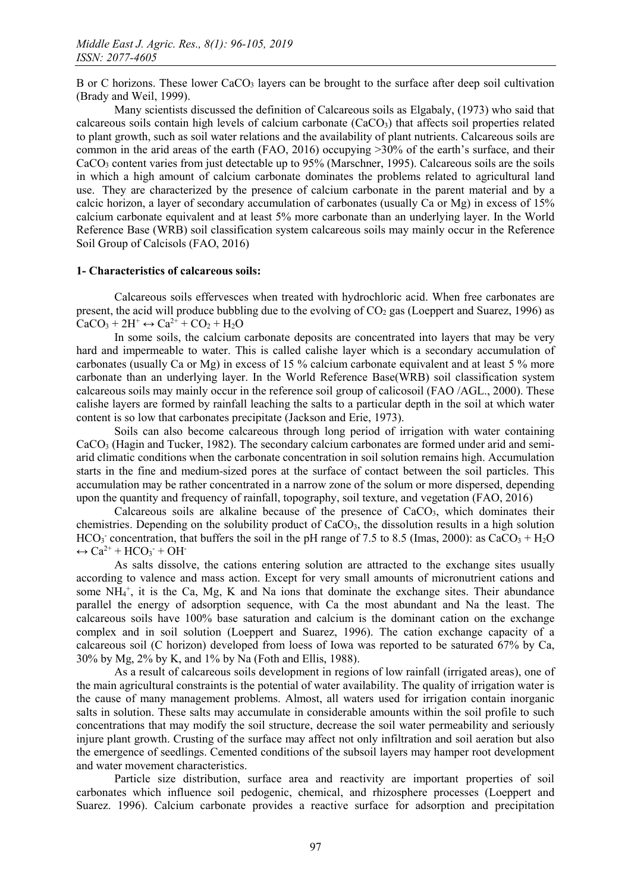B or C horizons. These lower  $CaCO<sub>3</sub>$  layers can be brought to the surface after deep soil cultivation (Brady and Weil, 1999).

Many scientists discussed the definition of Calcareous soils as Elgabaly, (1973) who said that calcareous soils contain high levels of calcium carbonate  $(CaCO<sub>3</sub>)$  that affects soil properties related to plant growth, such as soil water relations and the availability of plant nutrients. Calcareous soils are common in the arid areas of the earth (FAO, 2016) occupying  $>30\%$  of the earth's surface, and their  $CaCO<sub>3</sub>$  content varies from just detectable up to 95% (Marschner, 1995). Calcareous soils are the soils in which a high amount of calcium carbonate dominates the problems related to agricultural land use. They are characterized by the presence of calcium carbonate in the parent material and by a [calcic horizon](http://www.fao.org/ag/agl/agll/prosoil/horglos.htm), a layer of secondary accumulation of carbonates (usually Ca or Mg) in excess of 15% calcium carbonate equivalent and at least 5% more carbonate than an underlying layer. In the World Reference Base (WRB) soil classification system calcareous soils may mainly occur in the Reference Soil Group of Calcisols (FAO, 2016)

#### 1- Characteristics of calcareous soils:

Calcareous soils effervesces when treated with hydrochloric acid. When free carbonates are present, the acid will produce bubbling due to the evolving of  $CO<sub>2</sub>$  gas (Loeppert and Suarez, 1996) as  $CaCO<sub>3</sub> + 2H<sup>+</sup> \leftrightarrow Ca<sup>2+</sup> + CO<sub>2</sub> + H<sub>2</sub>O$ 

In some soils, the calcium carbonate deposits are concentrated into layers that may be very hard and impermeable to water. This is called calishe layer which is a secondary accumulation of carbonates (usually Ca or Mg) in excess of 15 % calcium carbonate equivalent and at least 5 % more carbonate than an underlying layer. In the World Reference Base(WRB) soil classification system calcareous soils may mainly occur in the reference soil group of calicosoil (FAO /AGL., 2000). These calishe layers are formed by rainfall leaching the salts to a particular depth in the soil at which water content is so low that carbonates precipitate (Jackson and Erie, 1973).

Soils can also become calcareous through long period of irrigation with water containing CaCO3 (Hagin and Tucker, 1982). The secondary calcium carbonates are formed under arid and semiarid climatic conditions when the carbonate concentration in soil solution remains high. Accumulation starts in the fine and medium-sized pores at the surface of contact between the soil particles. This accumulation may be rather concentrated in a narrow zone of the solum or more dispersed, depending upon the quantity and frequency of rainfall, topography, soil texture, and vegetation (FAO, 2016)

Calcareous soils are alkaline because of the presence of  $CaCO<sub>3</sub>$ , which dominates their chemistries. Depending on the solubility product of CaCO3, the dissolution results in a high solution  $HCO<sub>3</sub>$  concentration, that buffers the soil in the pH range of 7.5 to 8.5 (Imas, 2000): as CaCO<sub>3</sub> + H<sub>2</sub>O  $\leftrightarrow$  Ca<sup>2+</sup> + HCO<sub>3</sub><sup>-</sup> + OH<sup>-</sup>

As salts dissolve, the cations entering solution are attracted to the exchange sites usually according to valence and mass action. Except for very small amounts of micronutrient cations and some  $NH_4^+$ , it is the Ca, Mg, K and Na ions that dominate the exchange sites. Their abundance parallel the energy of adsorption sequence, with Ca the most abundant and Na the least. The calcareous soils have 100% base saturation and calcium is the dominant cation on the exchange complex and in soil solution (Loeppert and Suarez, 1996). The cation exchange capacity of a calcareous soil (C horizon) developed from loess of Iowa was reported to be saturated 67% by Ca, 30% by Mg, 2% by K, and 1% by Na (Foth and Ellis, 1988).

As a result of calcareous soils development in regions of low rainfall (irrigated areas), one of the main agricultural constraints is the potential of water availability. The quality of irrigation water is the cause of many management problems. Almost, all waters used for irrigation contain inorganic salts in solution. These salts may accumulate in considerable amounts within the soil profile to such concentrations that may modify the soil structure, decrease the soil water permeability and seriously injure plant growth. Crusting of the surface may affect not only infiltration and soil aeration but also the emergence of seedlings. Cemented conditions of the subsoil layers may hamper root development and water movement characteristics.

Particle size distribution, surface area and reactivity are important properties of soil carbonates which influence soil pedogenic, chemical, and rhizosphere processes (Loeppert and Suarez. 1996). Calcium carbonate provides a reactive surface for adsorption and precipitation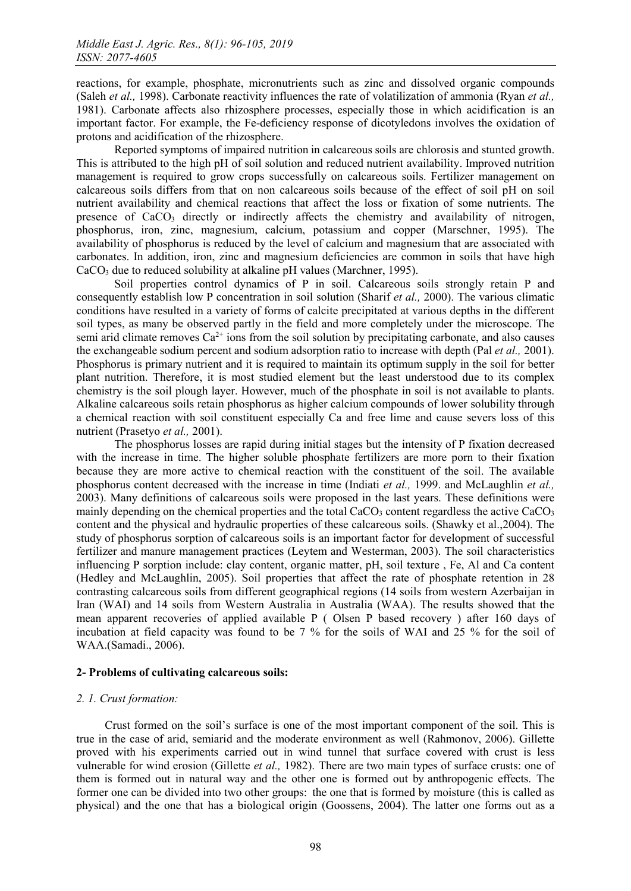reactions, for example, phosphate, micronutrients such as zinc and dissolved organic compounds (Saleh *et al.,* 1998). Carbonate reactivity influences the rate of volatilization of ammonia (Ryan *et al.,* 1981). Carbonate affects also rhizosphere processes, especially those in which acidification is an important factor. For example, the Fe-deficiency response of dicotyledons involves the oxidation of protons and acidification of the rhizosphere.

Reported symptoms of impaired nutrition in calcareous soils are chlorosis and stunted growth. This is attributed to the high pH of soil solution and reduced nutrient availability. Improved nutrition management is required to grow crops successfully on calcareous soils. Fertilizer management on calcareous soils differs from that on non calcareous soils because of the effect of soil pH on soil nutrient availability and chemical reactions that affect the loss or fixation of some nutrients. The presence of  $CaCO<sub>3</sub>$  directly or indirectly affects the chemistry and availability of nitrogen, phosphorus, iron, zinc, magnesium, calcium, potassium and copper (Marschner, 1995). The availability of phosphorus is reduced by the level of calcium and magnesium that are associated with carbonates. In addition, iron, zinc and magnesium deficiencies are common in soils that have high CaCO<sub>3</sub> due to reduced solubility at alkaline pH values (Marchner, 1995).

Soil properties control dynamics of P in soil. Calcareous soils strongly retain P and consequently establish low P concentration in soil solution (Sharif *et al.,* 2000). The various climatic conditions have resulted in a variety of forms of calcite precipitated at various depths in the different soil types, as many be observed partly in the field and more completely under the microscope. The semi arid climate removes  $Ca^{2+}$  ions from the soil solution by precipitating carbonate, and also causes the exchangeable sodium percent and sodium adsorption ratio to increase with depth (Pal *et al.,* 2001). Phosphorus is primary nutrient and it is required to maintain its optimum supply in the soil for better plant nutrition. Therefore, it is most studied element but the least understood due to its complex chemistry is the soil plough layer. However, much of the phosphate in soil is not available to plants. Alkaline calcareous soils retain phosphorus as higher calcium compounds of lower solubility through a chemical reaction with soil constituent especially Ca and free lime and cause severs loss of this nutrient (Prasetyo *et al.,* 2001).

The phosphorus losses are rapid during initial stages but the intensity of P fixation decreased with the increase in time. The higher soluble phosphate fertilizers are more porn to their fixation because they are more active to chemical reaction with the constituent of the soil. The available phosphorus content decreased with the increase in time (Indiati *et al.,* 1999. and McLaughlin *et al.,* 2003). Many definitions of calcareous soils were proposed in the last years. These definitions were mainly depending on the chemical properties and the total  $CaCO<sub>3</sub>$  content regardless the active  $CaCO<sub>3</sub>$ content and the physical and hydraulic properties of these calcareous soils. (Shawky et al.,2004). The study of phosphorus sorption of calcareous soils is an important factor for development of successful fertilizer and manure management practices (Leytem and Westerman, 2003). The soil characteristics influencing P sorption include: clay content, organic matter, pH, soil texture , Fe, Al and Ca content (Hedley and McLaughlin, 2005). Soil properties that affect the rate of phosphate retention in 28 contrasting calcareous soils from different geographical regions (14 soils from western Azerbaijan in Iran (WAI) and 14 soils from Western Australia in Australia (WAA). The results showed that the mean apparent recoveries of applied available P ( Olsen P based recovery ) after 160 days of incubation at field capacity was found to be 7 % for the soils of WAI and 25 % for the soil of WAA.(Samadi., 2006).

## 2- Problems of cultivating calcareous soils:

#### *2. 1. Crust formation:*

Crust formed on the soil's surface is one of the most important component of the soil. This is true in the case of arid, semiarid and the moderate environment as well (Rahmonov, 2006). Gillette proved with his experiments carried out in wind tunnel that surface covered with crust is less vulnerable for wind erosion (Gillette *et al.,* 1982). There are two main types of surface crusts: one of them is formed out in natural way and the other one is formed out by anthropogenic effects. The former one can be divided into two other groups: the one that is formed by moisture (this is called as physical) and the one that has a biological origin (Goossens, 2004). The latter one forms out as a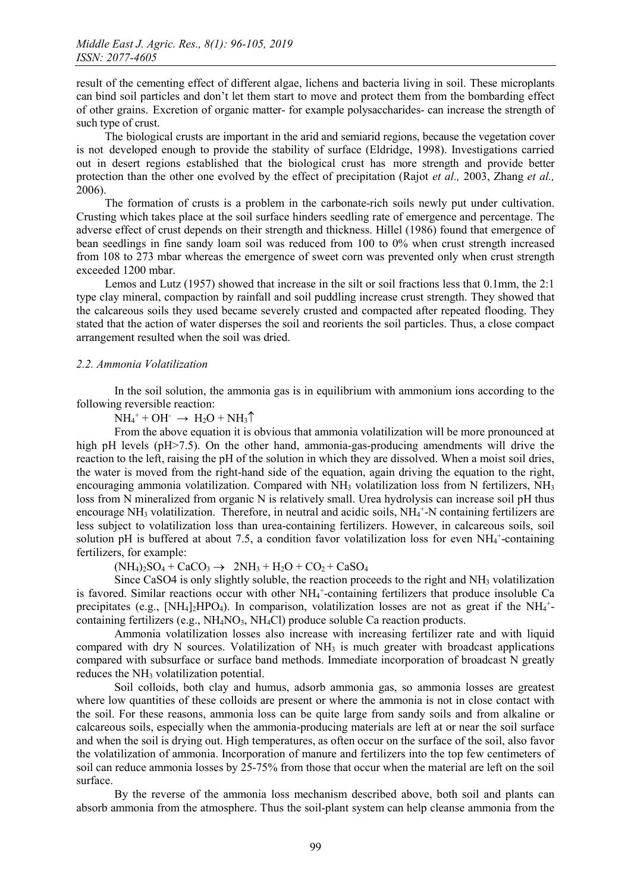result of the cementing effect of different algae, lichens and bacteria living in soil. These microplants can bind soil particles and don't let them start to move and protect them from the bombarding effect of other grains. Excretion of organic matter- for example polysaccharides- can increase the strength of such type of crust.

The biological crusts are important in the arid and semiarid regions, because the vegetation cover is not developed enough to provide the stability of surface (Eldridge, 1998). Investigations carried out in desert regions established that the biological crust has more strength and provide better protection than the other one evolved by the effect of precipitation (Rajot *et al.,* 2003, Zhang *et al.,* 2006).

The formation of crusts is a problem in the carbonate-rich soils newly put under cultivation. Crusting which takes place at the soil surface hinders seedling rate of emergence and percentage. The adverse effect of crust depends on their strength and thickness. Hillel (1986) found that emergence of bean seedlings in fine sandy loam soil was reduced from 100 to 0% when crust strength increased from 108 to 273 mbar whereas the emergence of sweet corn was prevented only when crust strength exceeded 1200 mbar.

Lemos and Lutz (1957) showed that increase in the silt or soil fractions less that 0.1mm, the 2:1 type clay mineral, compaction by rainfall and soil puddling increase crust strength. They showed that the calcareous soils they used became severely crusted and compacted after repeated flooding. They stated that the action of water disperses the soil and reorients the soil particles. Thus, a close compact arrangement resulted when the soil was dried.

#### *2.2. Ammonia Volatilization*

In the soil solution, the ammonia gas is in equilibrium with ammonium ions according to the following reversible reaction:

 $NH_4^+ + OH^- \rightarrow H_2O + NH_3$ 

From the above equation it is obvious that ammonia volatilization will be more pronounced at high pH levels (pH $>7.5$ ). On the other hand, ammonia-gas-producing amendments will drive the reaction to the left, raising the pH of the solution in which they are dissolved. When a moist soil dries, the water is moved from the right-hand side of the equation, again driving the equation to the right, encouraging ammonia volatilization. Compared with NH<sub>3</sub> volatilization loss from N fertilizers, NH<sub>3</sub> loss from N mineralized from organic N is relatively small. Urea hydrolysis can increase soil pH thus encourage NH<sub>3</sub> volatilization. Therefore, in neutral and acidic soils, NH<sub>4</sub>+-N containing fertilizers are less subject to volatilization loss than urea-containing fertilizers. However, in calcareous soils, soil solution pH is buffered at about 7.5, a condition favor volatilization loss for even  $NH_4^+$ -containing fertilizers, for example:

 $(NH_4)$ <sub>2</sub>SO<sub>4</sub> + CaCO<sub>3</sub>  $\rightarrow$  2NH<sub>3</sub> + H<sub>2</sub>O + CO<sub>2</sub> + CaSO<sub>4</sub>

Since CaSO4 is only slightly soluble, the reaction proceeds to the right and NH3 volatilization is favored. Similar reactions occur with other NH<sub>4</sub><sup>+</sup>-containing fertilizers that produce insoluble Ca precipitates (e.g., [NH<sub>4</sub>]<sub>2</sub>HPO<sub>4</sub>). In comparison, volatilization losses are not as great if the NH<sub>4</sub><sup>+</sup>containing fertilizers (e.g., NH<sub>4</sub>NO<sub>3</sub>, NH<sub>4</sub>Cl) produce soluble Ca reaction products.

Ammonia volatilization losses also increase with increasing fertilizer rate and with liquid compared with dry N sources. Volatilization of  $NH_3$  is much greater with broadcast applications compared with subsurface or surface band methods. Immediate incorporation of broadcast N greatly reduces the NH3 volatilization potential.

Soil colloids, both clay and humus, adsorb ammonia gas, so ammonia losses are greatest where low quantities of these colloids are present or where the ammonia is not in close contact with the soil. For these reasons, ammonia loss can be quite large from sandy soils and from alkaline or calcareous soils, especially when the ammonia-producing materials are left at or near the soil surface and when the soil is drying out. High temperatures, as often occur on the surface of the soil, also favor the volatilization of ammonia. Incorporation of manure and fertilizers into the top few centimeters of soil can reduce ammonia losses by 25-75% from those that occur when the material are left on the soil surface.

By the reverse of the ammonia loss mechanism described above, both soil and plants can absorb ammonia from the atmosphere. Thus the soil-plant system can help cleanse ammonia from the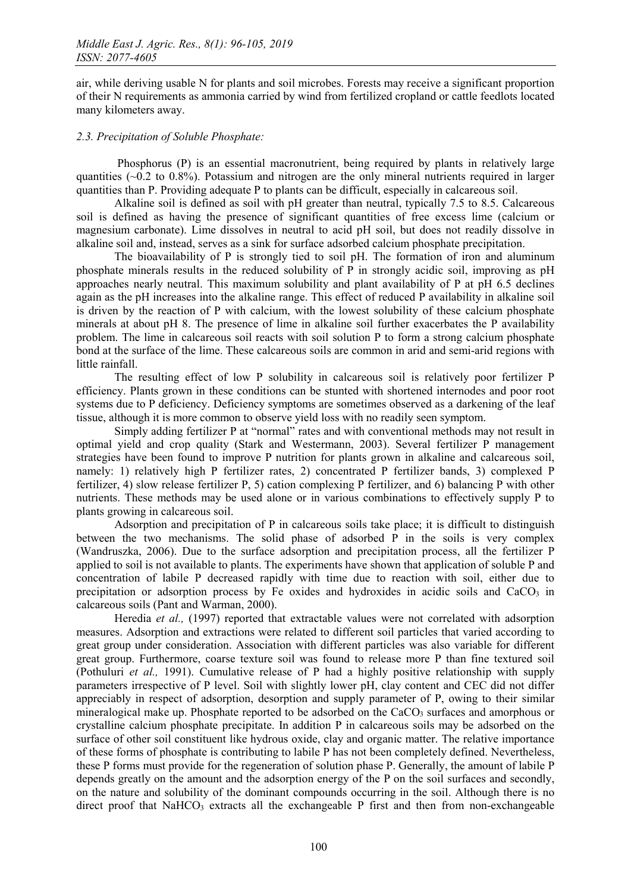air, while deriving usable N for plants and soil microbes. Forests may receive a significant proportion of their N requirements as ammonia carried by wind from fertilized cropland or cattle feedlots located many kilometers away.

#### *2.3. Precipitation of Soluble Phosphate:*

Phosphorus (P) is an essential macronutrient, being required by plants in relatively large quantities  $(\sim 0.2 \text{ to } 0.8\%)$ . Potassium and nitrogen are the only mineral nutrients required in larger quantities than P. Providing adequate P to plants can be difficult, especially in calcareous soil.

Alkaline soil is defined as soil with pH greater than neutral, typically 7.5 to 8.5. Calcareous soil is defined as having the presence of significant quantities of free excess lime (calcium or magnesium carbonate). Lime dissolves in neutral to acid pH soil, but does not readily dissolve in alkaline soil and, instead, serves as a sink for surface adsorbed calcium phosphate precipitation.

The bioavailability of P is strongly tied to soil pH. The formation of iron and aluminum phosphate minerals results in the reduced solubility of P in strongly acidic soil, improving as pH approaches nearly neutral. This maximum solubility and plant availability of P at pH 6.5 declines again as the pH increases into the alkaline range. This effect of reduced P availability in alkaline soil is driven by the reaction of P with calcium, with the lowest solubility of these calcium phosphate minerals at about pH 8. The presence of lime in alkaline soil further exacerbates the P availability problem. The lime in calcareous soil reacts with soil solution P to form a strong calcium phosphate bond at the surface of the lime. These calcareous soils are common in arid and semi-arid regions with little rainfall.

The resulting effect of low P solubility in calcareous soil is relatively poor fertilizer P efficiency. Plants grown in these conditions can be stunted with shortened internodes and poor root systems due to P deficiency. Deficiency symptoms are sometimes observed as a darkening of the leaf tissue, although it is more common to observe yield loss with no readily seen symptom.

Simply adding fertilizer P at "normal" rates and with conventional methods may not result in optimal yield and crop quality (Stark and Westermann, 2003). Several fertilizer P management strategies have been found to improve P nutrition for plants grown in alkaline and calcareous soil, namely: 1) relatively high P fertilizer rates, 2) concentrated P fertilizer bands, 3) complexed P fertilizer, 4) slow release fertilizer P, 5) cation complexing P fertilizer, and 6) balancing P with other nutrients. These methods may be used alone or in various combinations to effectively supply P to plants growing in calcareous soil.

Adsorption and precipitation of P in calcareous soils take place; it is difficult to distinguish between the two mechanisms. The solid phase of adsorbed P in the soils is very complex (Wandruszka, 2006). Due to the surface adsorption and precipitation process, all the fertilizer P applied to soil is not available to plants. The experiments have shown that application of soluble P and concentration of labile P decreased rapidly with time due to reaction with soil, either due to precipitation or adsorption process by Fe oxides and hydroxides in acidic soils and  $CaCO<sub>3</sub>$  in calcareous soils (Pant and Warman, 2000).

Heredia *et al.,* (1997) reported that extractable values were not correlated with adsorption measures. Adsorption and extractions were related to different soil particles that varied according to great group under consideration. Association with different particles was also variable for different great group. Furthermore, coarse texture soil was found to release more P than fine textured soil (Pothuluri *et al.,* 1991). Cumulative release of P had a highly positive relationship with supply parameters irrespective of P level. Soil with slightly lower pH, clay content and CEC did not differ appreciably in respect of adsorption, desorption and supply parameter of P, owing to their similar mineralogical make up. Phosphate reported to be adsorbed on the CaCO<sub>3</sub> surfaces and amorphous or crystalline calcium phosphate precipitate. In addition P in calcareous soils may be adsorbed on the surface of other soil constituent like hydrous oxide, clay and organic matter. The relative importance of these forms of phosphate is contributing to labile P has not been completely defined. Nevertheless, these P forms must provide for the regeneration of solution phase P. Generally, the amount of labile P depends greatly on the amount and the adsorption energy of the P on the soil surfaces and secondly, on the nature and solubility of the dominant compounds occurring in the soil. Although there is no direct proof that  $NaHCO<sub>3</sub>$  extracts all the exchangeable P first and then from non-exchangeable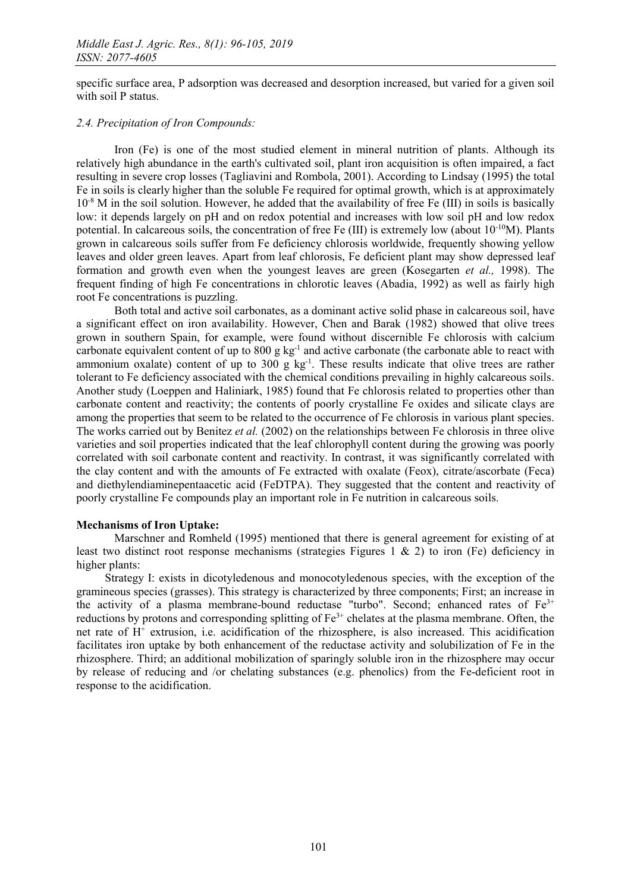specific surface area, P adsorption was decreased and desorption increased, but varied for a given soil with soil P status.

### *2.4. Precipitation of Iron Compounds:*

Iron (Fe) is one of the most studied element in mineral nutrition of plants. Although its relatively high abundance in the earth's cultivated soil, plant iron acquisition is often impaired, a fact resulting in severe crop losses (Tagliavini and Rombola, 2001). According to Lindsay (1995) the total Fe in soils is clearly higher than the soluble Fe required for optimal growth, which is at approximately  $10^{-8}$  M in the soil solution. However, he added that the availability of free Fe (III) in soils is basically low: it depends largely on pH and on redox potential and increases with low soil pH and low redox potential. In calcareous soils, the concentration of free Fe (III) is extremely low (about  $10^{-10}M$ ). Plants grown in calcareous soils suffer from Fe deficiency chlorosis worldwide, frequently showing yellow leaves and older green leaves. Apart from leaf chlorosis, Fe deficient plant may show depressed leaf formation and growth even when the youngest leaves are green (Kosegarten *et al.,* 1998). The frequent finding of high Fe concentrations in chlorotic leaves (Abadia, 1992) as well as fairly high root Fe concentrations is puzzling.

Both total and active soil carbonates, as a dominant active solid phase in calcareous soil, have a significant effect on iron availability. However, Chen and Barak (1982) showed that olive trees grown in southern Spain, for example, were found without discernible Fe chlorosis with calcium carbonate equivalent content of up to  $800 \text{ g kg}^{-1}$  and active carbonate (the carbonate able to react with ammonium oxalate) content of up to 300 g  $kg<sup>-1</sup>$ . These results indicate that olive trees are rather tolerant to Fe deficiency associated with the chemical conditions prevailing in highly calcareous soils. Another study (Loeppen and Haliniark, 1985) found that Fe chlorosis related to properties other than carbonate content and reactivity; the contents of poorly crystalline Fe oxides and silicate clays are among the properties that seem to be related to the occurrence of Fe chlorosis in various plant species. The works carried out by Benitez *et al.* (2002) on the relationships between Fe chlorosis in three olive varieties and soil properties indicated that the leaf chlorophyll content during the growing was poorly correlated with soil carbonate content and reactivity. In contrast, it was significantly correlated with the clay content and with the amounts of Fe extracted with oxalate (Feox), citrate/ascorbate (Feca) and diethylendiaminepentaacetic acid (FeDTPA). They suggested that the content and reactivity of poorly crystalline Fe compounds play an important role in Fe nutrition in calcareous soils.

#### Mechanisms of Iron Uptake:

Marschner and Romheld (1995) mentioned that there is general agreement for existing of at least two distinct root response mechanisms (strategies Figures 1 & 2) to iron (Fe) deficiency in higher plants:

Strategy I: exists in dicotyledenous and monocotyledenous species, with the exception of the gramineous species (grasses). This strategy is characterized by three components; First; an increase in the activity of a plasma membrane-bound reductase "turbo". Second; enhanced rates of  $Fe<sup>3+</sup>$ reductions by protons and corresponding splitting of Fe<sup>3+</sup> chelates at the plasma membrane. Often, the net rate of  $H^+$  extrusion, i.e. acidification of the rhizosphere, is also increased. This acidification facilitates iron uptake by both enhancement of the reductase activity and solubilization of Fe in the rhizosphere. Third; an additional mobilization of sparingly soluble iron in the rhizosphere may occur by release of reducing and /or chelating substances (e.g. phenolics) from the Fe-deficient root in response to the acidification.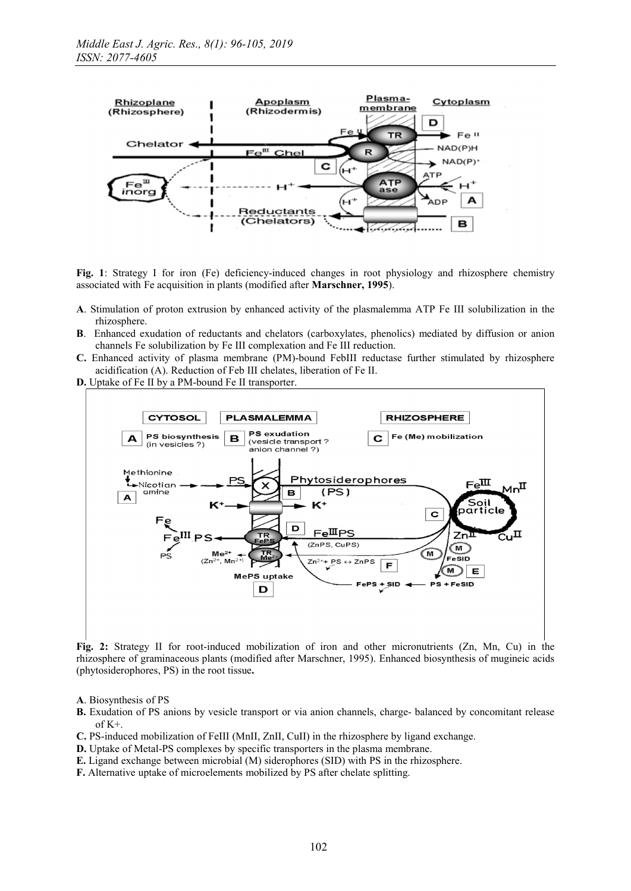

Fig. 1: Strategy I for iron (Fe) deficiency-induced changes in root physiology and rhizosphere chemistry associated with Fe acquisition in plants (modified after Marschner, 1995).

- A. Stimulation of proton extrusion by enhanced activity of the plasmalemma ATP Fe III solubilization in the rhizosphere.
- B. Enhanced exudation of reductants and chelators (carboxylates, phenolics) mediated by diffusion or anion channels Fe solubilization by Fe III complexation and Fe III reduction.
- C. Enhanced activity of plasma membrane (PM)-bound FebIII reductase further stimulated by rhizosphere acidification (A). Reduction of Feb III chelates, liberation of Fe II.
- D. Uptake of Fe II by a PM-bound Fe II transporter.



Fig. 2: Strategy II for root-induced mobilization of iron and other micronutrients (Zn, Mn, Cu) in the rhizosphere of graminaceous plants (modified after Marschner, 1995). Enhanced biosynthesis of mugineic acids (phytosiderophores, PS) in the root tissue.

- A. Biosynthesis of PS
- B. Exudation of PS anions by vesicle transport or via anion channels, charge- balanced by concomitant release of K+.
- C. PS-induced mobilization of FeIII (MnII, ZnII, CuII) in the rhizosphere by ligand exchange.
- D. Uptake of Metal-PS complexes by specific transporters in the plasma membrane.
- E. Ligand exchange between microbial (M) siderophores (SID) with PS in the rhizosphere.
- F. Alternative uptake of microelements mobilized by PS after chelate splitting.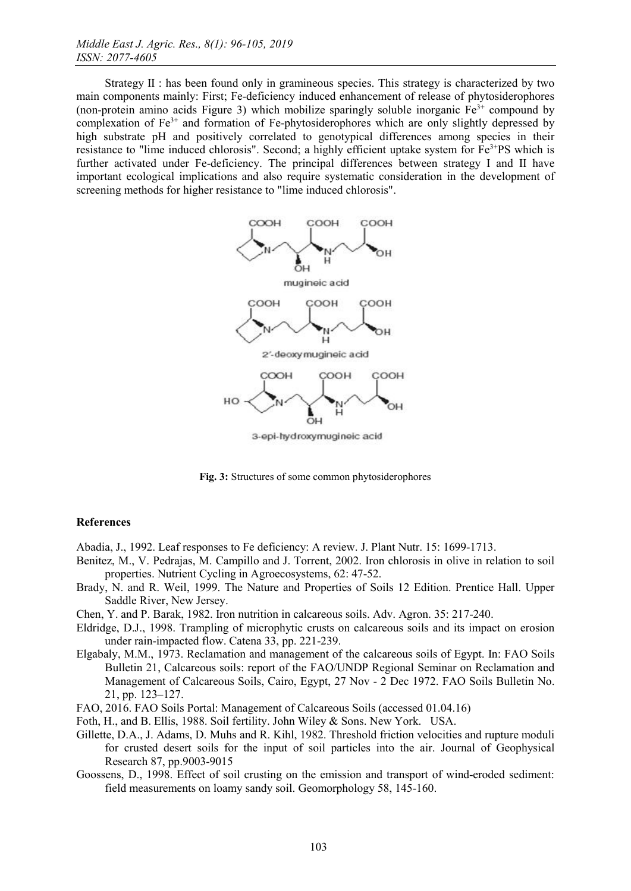Strategy II : has been found only in gramineous species. This strategy is characterized by two main components mainly: First; Fe-deficiency induced enhancement of release of phytosiderophores (non-protein amino acids Figure 3) which mobilize sparingly soluble inorganic  $Fe<sup>3+</sup>$  compound by complexation of  $Fe<sup>3+</sup>$  and formation of Fe-phytosiderophores which are only slightly depressed by high substrate pH and positively correlated to genotypical differences among species in their resistance to "lime induced chlorosis". Second; a highly efficient uptake system for  $Fe^{3+}PS$  which is further activated under Fe-deficiency. The principal differences between strategy I and II have important ecological implications and also require systematic consideration in the development of screening methods for higher resistance to "lime induced chlorosis".



Fig. 3: Structures of some common phytosiderophores

#### References

Abadia, J., 1992. Leaf responses to Fe deficiency: A review. J. Plant Nutr. 15: 1699-1713.

- Benitez, M., V. Pedrajas, M. Campillo and J. Torrent, 2002. Iron chlorosis in olive in relation to soil properties. Nutrient Cycling in Agroecosystems, 62: 47-52.
- Brady, N. and R. Weil, 1999. The Nature and Properties of Soils 12 Edition. Prentice Hall. Upper Saddle River, New Jersey.
- Chen, Y. and P. Barak, 1982. Iron nutrition in calcareous soils. Adv. Agron. 35: 217-240.
- Eldridge, D.J., 1998. Trampling of microphytic crusts on calcareous soils and its impact on erosion under rain-impacted flow. Catena 33, pp. 221-239.
- Elgabaly, M.M., 1973. Reclamation and management of the calcareous soils of Egypt. In: FAO Soils Bulletin 21, Calcareous soils: report of the FAO/UNDP Regional Seminar on Reclamation and Management of Calcareous Soils, Cairo, Egypt, 27 Nov - 2 Dec 1972. FAO Soils Bulletin No. 21, pp. 123–127.
- FAO, 2016. FAO Soils Portal: Management of Calcareous Soils (accessed 01.04.16)
- Foth, H., and B. Ellis, 1988. Soil fertility. John Wiley & Sons. New York. USA.
- Gillette, D.A., J. Adams, D. Muhs and R. Kihl, 1982. Threshold friction velocities and rupture moduli for crusted desert soils for the input of soil particles into the air. Journal of Geophysical Research 87, pp.9003-9015
- Goossens, D., 1998. Effect of soil crusting on the emission and transport of wind-eroded sediment: field measurements on loamy sandy soil. Geomorphology 58, 145-160.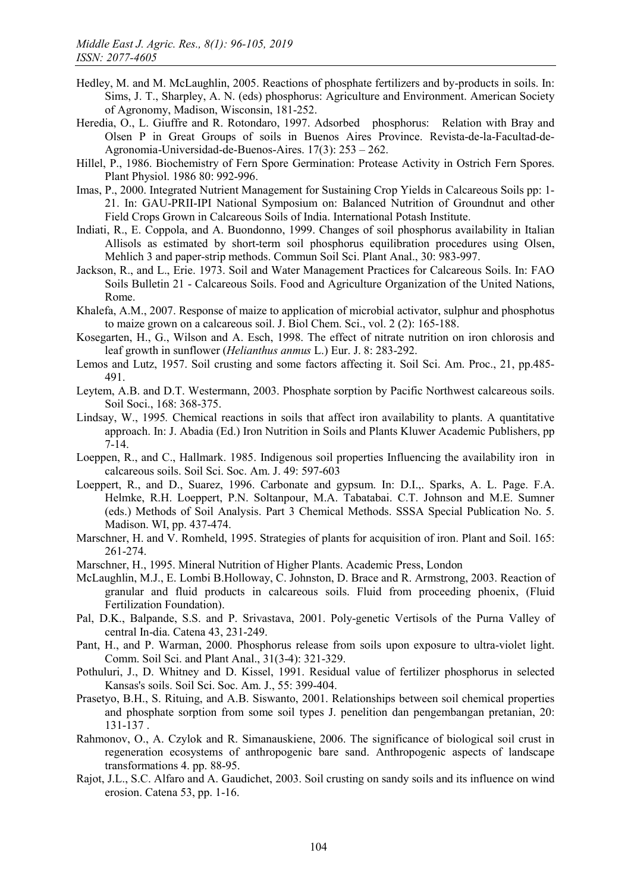- Hedley, M. and M. McLaughlin, 2005. Reactions of phosphate fertilizers and by-products in soils. In: Sims, J. T., Sharpley, A. N. (eds) phosphorus: Agriculture and Environment. American Society of Agronomy, Madison, Wisconsin, 181-252.
- Heredia, O., L. Giuffre and R. Rotondaro, 1997. Adsorbed phosphorus: Relation with Bray and Olsen P in Great Groups of soils in Buenos Aires Province. Revista-de-la-Facultad-de-Agronomia-Universidad-de-Buenos-Aires. 17(3): 253 – 262.
- Hillel, P., 1986. Biochemistry of Fern Spore Germination: Protease Activity in Ostrich Fern Spores. Plant Physiol. 1986 80: 992-996.
- Imas, P., 2000. Integrated Nutrient Management for Sustaining Crop Yields in Calcareous Soils pp: 1- 21. In: GAU-PRII-IPI National Symposium on: Balanced Nutrition of Groundnut and other Field Crops Grown in Calcareous Soils of India. International Potash Institute.
- Indiati, R., E. Coppola, and A. Buondonno, 1999. Changes of soil phosphorus availability in Italian Allisols as estimated by short-term soil phosphorus equilibration procedures using Olsen, Mehlich 3 and paper-strip methods. Commun Soil Sci. Plant Anal., 30: 983-997.
- Jackson, R., and L., Erie. 1973. Soil and Water Management Practices for Calcareous Soils. In: FAO Soils Bulletin 21 - Calcareous Soils. Food and Agriculture Organization of the United Nations, Rome.
- Khalefa, A.M., 2007. Response of maize to application of microbial activator, sulphur and phosphotus to maize grown on a calcareous soil. J. Biol Chem. Sci., vol. 2 (2): 165-188.
- Kosegarten, H., G., Wilson and A. Esch, 1998. The effect of nitrate nutrition on iron chlorosis and leaf growth in sunflower (*Helianthus anmus* L.) Eur. J. 8: 283-292.
- Lemos and Lutz, 1957. Soil crusting and some factors affecting it. Soil Sci. Am. Proc., 21, pp.485- 491.
- Leytem, A.B. and D.T. Westermann, 2003. Phosphate sorption by Pacific Northwest calcareous soils. Soil Soci., 168: 368-375.
- Lindsay, W., 1995*.* Chemical reactions in soils that affect iron availability to plants. A quantitative approach. In: J. Abadia (Ed.) Iron Nutrition in Soils and Plants Kluwer Academic Publishers, pp 7-14.
- Loeppen, R., and C., Hallmark. 1985. Indigenous soil properties Influencing the availability iron in calcareous soils. Soil Sci. Soc. Am. J. 49: 597-603
- Loeppert, R., and D., Suarez, 1996. Carbonate and gypsum. In: D.I.,. Sparks, A. L. Page. F.A. Helmke, R.H. Loeppert, P.N. Soltanpour, M.A. Tabatabai. C.T. Johnson and M.E. Sumner (eds.) Methods of Soil Analysis. Part 3 Chemical Methods. SSSA Special Publication No. 5. Madison. WI, pp. 437-474.
- Marschner, H. and V. Romheld, 1995. Strategies of plants for acquisition of iron. Plant and Soil. 165: 261-274.
- Marschner, H., 1995. Mineral Nutrition of Higher Plants. Academic Press, London
- McLaughlin, M.J., E. Lombi B.Holloway, C. Johnston, D. Brace and R. Armstrong, 2003. Reaction of granular and fluid products in calcareous soils. Fluid from proceeding phoenix, (Fluid Fertilization Foundation).
- Pal, D.K., Balpande, S.S. and P. Srivastava, 2001. Poly-genetic Vertisols of the Purna Valley of central In-dia. Catena 43, 231-249.
- Pant, H., and P. Warman, 2000. Phosphorus release from soils upon exposure to ultra-violet light. Comm. Soil Sci. and Plant Anal., 31(3-4): 321-329.
- Pothuluri, J., D. Whitney and D. Kissel, 1991. Residual value of fertilizer phosphorus in selected Kansas's soils. Soil Sci. Soc. Am. J., 55: 399-404.
- Prasetyo, B.H., S. Rituing, and A.B. Siswanto, 2001. Relationships between soil chemical properties and phosphate sorption from some soil types J. penelition dan pengembangan pretanian, 20: 131-137 .
- Rahmonov, O., A. Czylok and R. Simanauskiene, 2006. The significance of biological soil crust in regeneration ecosystems of anthropogenic bare sand. Anthropogenic aspects of landscape transformations 4. pp. 88-95.
- Rajot, J.L., S.C. Alfaro and A. Gaudichet, 2003. Soil crusting on sandy soils and its influence on wind erosion. Catena 53, pp. 1-16.